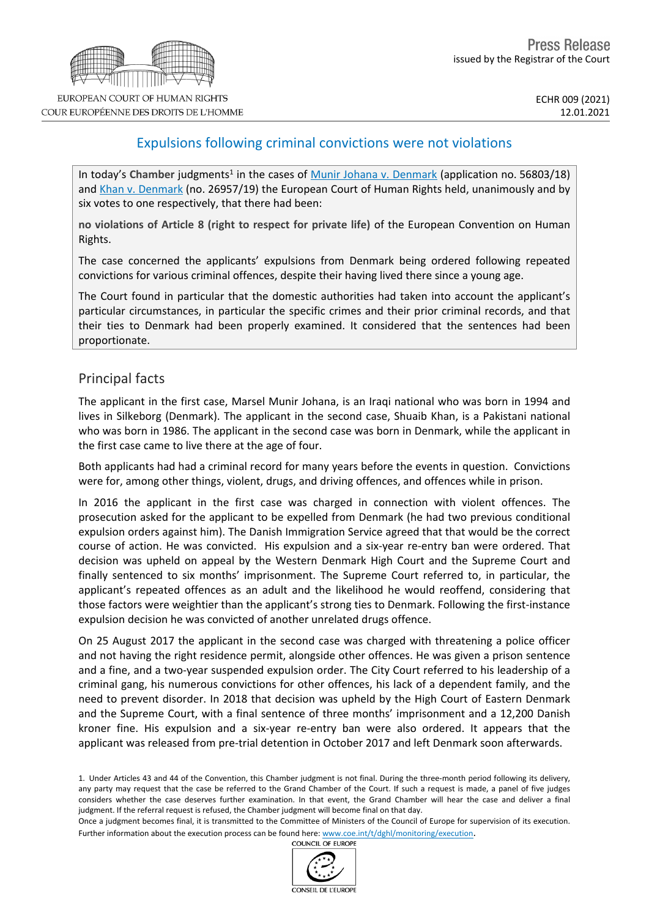# Expulsions following criminal convictions were not violations

In today's Chamber judgments<sup>1</sup> in the cases of Munir Johana v. [Denmark](http://hudoc.echr.coe.int/eng?i=001-207134) (application no. 56803/18) and Khan v. [Denmark](http://hudoc.echr.coe.int/eng?i=001-207136) (no. 26957/19) the European Court of Human Rights held, unanimously and by six votes to one respectively, that there had been:

**no violations of Article 8 (right to respect for private life)** of the European Convention on Human Rights.

The case concerned the applicants' expulsions from Denmark being ordered following repeated convictions for various criminal offences, despite their having lived there since a young age.

The Court found in particular that the domestic authorities had taken into account the applicant's particular circumstances, in particular the specific crimes and their prior criminal records, and that their ties to Denmark had been properly examined. It considered that the sentences had been proportionate.

## Principal facts

The applicant in the first case, Marsel Munir Johana, is an Iraqi national who was born in 1994 and lives in Silkeborg (Denmark). The applicant in the second case, Shuaib Khan, is a Pakistani national who was born in 1986. The applicant in the second case was born in Denmark, while the applicant in the first case came to live there at the age of four.

Both applicants had had a criminal record for many years before the events in question. Convictions were for, among other things, violent, drugs, and driving offences, and offences while in prison.

In 2016 the applicant in the first case was charged in connection with violent offences. The prosecution asked for the applicant to be expelled from Denmark (he had two previous conditional expulsion orders against him). The Danish Immigration Service agreed that that would be the correct course of action. He was convicted. His expulsion and a six-year re-entry ban were ordered. That decision was upheld on appeal by the Western Denmark High Court and the Supreme Court and finally sentenced to six months' imprisonment. The Supreme Court referred to, in particular, the applicant's repeated offences as an adult and the likelihood he would reoffend, considering that those factors were weightier than the applicant's strong ties to Denmark. Following the first-instance expulsion decision he was convicted of another unrelated drugs offence.

On 25 August 2017 the applicant in the second case was charged with threatening a police officer and not having the right residence permit, alongside other offences. He was given a prison sentence and a fine, and a two-year suspended expulsion order. The City Court referred to his leadership of a criminal gang, his numerous convictions for other offences, his lack of a dependent family, and the need to prevent disorder. In 2018 that decision was upheld by the High Court of Eastern Denmark and the Supreme Court, with a final sentence of three months' imprisonment and a 12,200 Danish kroner fine. His expulsion and a six-year re-entry ban were also ordered. It appears that the applicant was released from pre-trial detention in October 2017 and left Denmark soon afterwards.

1. Under Articles 43 and 44 of the Convention, this Chamber judgment is not final. During the three-month period following its delivery, any party may request that the case be referred to the Grand Chamber of the Court. If such a request is made, a panel of five judges considers whether the case deserves further examination. In that event, the Grand Chamber will hear the case and deliver a final judgment. If the referral request is refused, the Chamber judgment will become final on that day.

Once a judgment becomes final, it is transmitted to the Committee of Ministers of the Council of Europe for supervision of its execution. Further information about the execution process can be found here: [www.coe.int/t/dghl/monitoring/execution](http://www.coe.int/t/dghl/monitoring/execution).<br>COUNCIL OF EUROPE

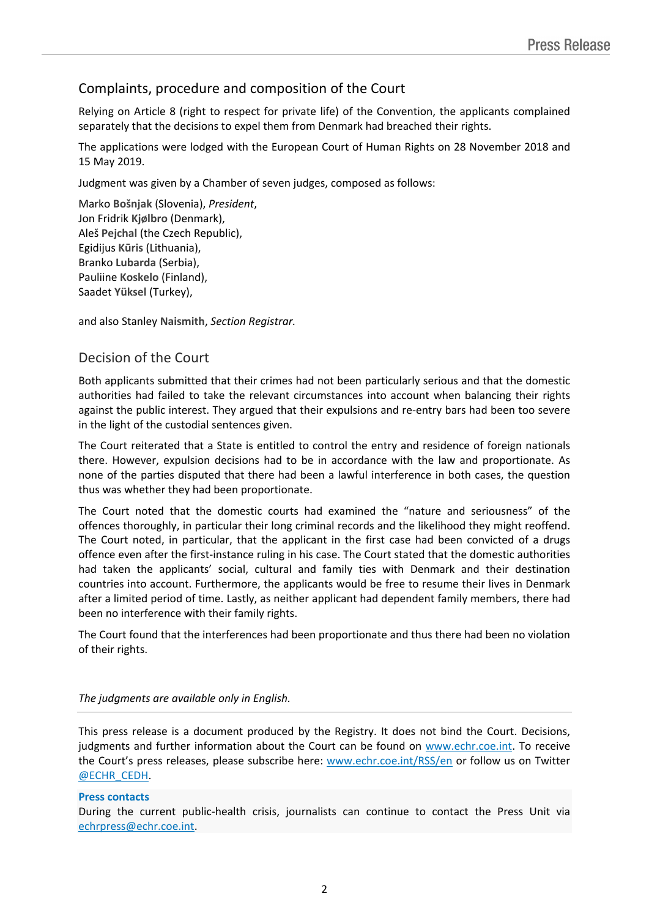## Complaints, procedure and composition of the Court

Relying on Article 8 (right to respect for private life) of the Convention, the applicants complained separately that the decisions to expel them from Denmark had breached their rights.

The applications were lodged with the European Court of Human Rights on 28 November 2018 and 15 May 2019.

Judgment was given by a Chamber of seven judges, composed as follows:

Marko **Bošnjak** (Slovenia), *President*, Jon Fridrik **Kjølbro** (Denmark), Aleš **Pejchal** (the Czech Republic), Egidijus **Kūris** (Lithuania), Branko **Lubarda** (Serbia), Pauliine **Koskelo** (Finland), Saadet **Yüksel** (Turkey),

and also Stanley **Naismith**, *Section Registrar.*

### Decision of the Court

Both applicants submitted that their crimes had not been particularly serious and that the domestic authorities had failed to take the relevant circumstances into account when balancing their rights against the public interest. They argued that their expulsions and re-entry bars had been too severe in the light of the custodial sentences given.

The Court reiterated that a State is entitled to control the entry and residence of foreign nationals there. However, expulsion decisions had to be in accordance with the law and proportionate. As none of the parties disputed that there had been a lawful interference in both cases, the question thus was whether they had been proportionate.

The Court noted that the domestic courts had examined the "nature and seriousness" of the offences thoroughly, in particular their long criminal records and the likelihood they might reoffend. The Court noted, in particular, that the applicant in the first case had been convicted of a drugs offence even after the first-instance ruling in his case. The Court stated that the domestic authorities had taken the applicants' social, cultural and family ties with Denmark and their destination countries into account. Furthermore, the applicants would be free to resume their lives in Denmark after a limited period of time. Lastly, as neither applicant had dependent family members, there had been no interference with their family rights.

The Court found that the interferences had been proportionate and thus there had been no violation of their rights.

### *The judgments are available only in English.*

This press release is a document produced by the Registry. It does not bind the Court. Decisions, judgments and further information about the Court can be found on [www.echr.coe.int](http://www.echr.coe.int/). To receive the Court's press releases, please subscribe here: [www.echr.coe.int/RSS/en](http://www.echr.coe.int/RSS/en) or follow us on Twitter [@ECHR\\_CEDH](https://twitter.com/ECHR_CEDH).

### **Press contacts**

During the current public-health crisis, journalists can continue to contact the Press Unit via [echrpress@echr.coe.int](mailto:echrpress@echr.coe.int).